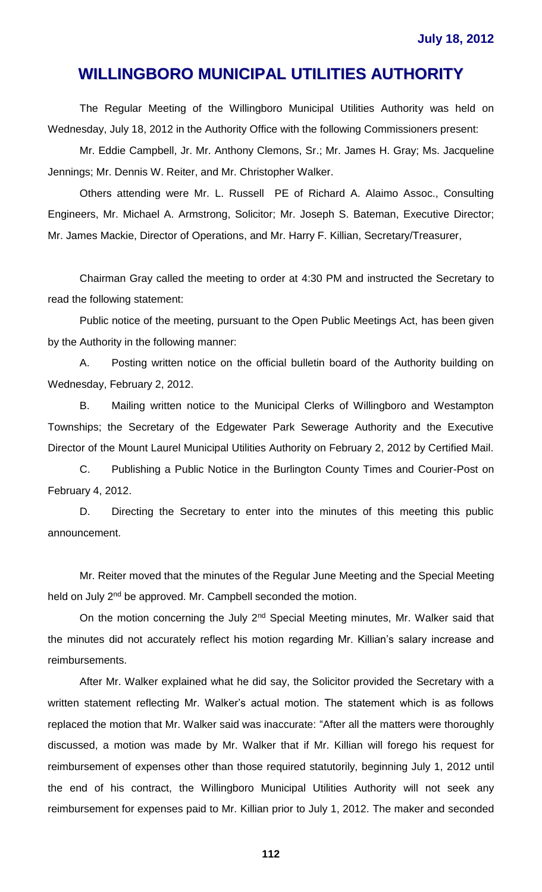The Regular Meeting of the Willingboro Municipal Utilities Authority was held on Wednesday, July 18, 2012 in the Authority Office with the following Commissioners present:

Mr. Eddie Campbell, Jr. Mr. Anthony Clemons, Sr.; Mr. James H. Gray; Ms. Jacqueline Jennings; Mr. Dennis W. Reiter, and Mr. Christopher Walker.

Others attending were Mr. L. Russell PE of Richard A. Alaimo Assoc., Consulting Engineers, Mr. Michael A. Armstrong, Solicitor; Mr. Joseph S. Bateman, Executive Director; Mr. James Mackie, Director of Operations, and Mr. Harry F. Killian, Secretary/Treasurer,

Chairman Gray called the meeting to order at 4:30 PM and instructed the Secretary to read the following statement:

Public notice of the meeting, pursuant to the Open Public Meetings Act, has been given by the Authority in the following manner:

A. Posting written notice on the official bulletin board of the Authority building on Wednesday, February 2, 2012.

B. Mailing written notice to the Municipal Clerks of Willingboro and Westampton Townships; the Secretary of the Edgewater Park Sewerage Authority and the Executive Director of the Mount Laurel Municipal Utilities Authority on February 2, 2012 by Certified Mail.

C. Publishing a Public Notice in the Burlington County Times and Courier-Post on February 4, 2012.

D. Directing the Secretary to enter into the minutes of this meeting this public announcement.

Mr. Reiter moved that the minutes of the Regular June Meeting and the Special Meeting held on July 2<sup>nd</sup> be approved. Mr. Campbell seconded the motion.

On the motion concerning the July 2<sup>nd</sup> Special Meeting minutes, Mr. Walker said that the minutes did not accurately reflect his motion regarding Mr. Killian's salary increase and reimbursements.

After Mr. Walker explained what he did say, the Solicitor provided the Secretary with a written statement reflecting Mr. Walker's actual motion. The statement which is as follows replaced the motion that Mr. Walker said was inaccurate: "After all the matters were thoroughly discussed, a motion was made by Mr. Walker that if Mr. Killian will forego his request for reimbursement of expenses other than those required statutorily, beginning July 1, 2012 until the end of his contract, the Willingboro Municipal Utilities Authority will not seek any reimbursement for expenses paid to Mr. Killian prior to July 1, 2012. The maker and seconded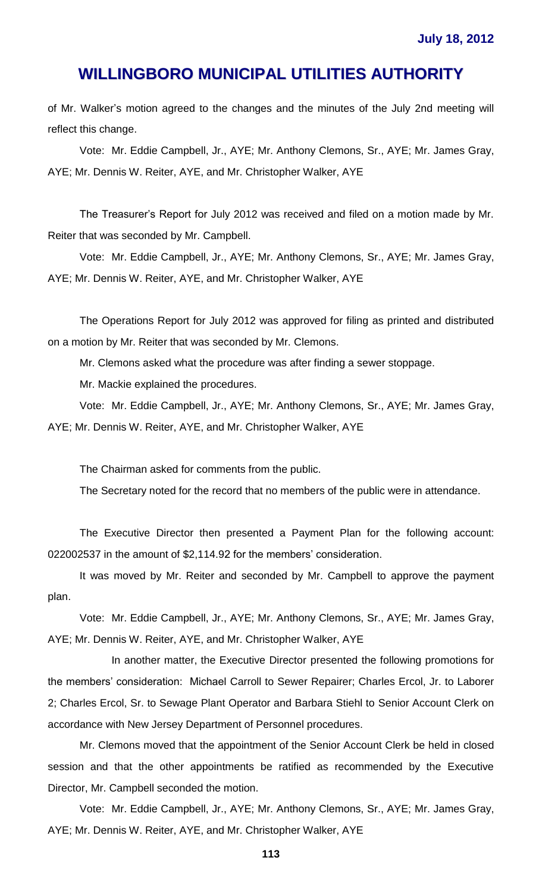of Mr. Walker's motion agreed to the changes and the minutes of the July 2nd meeting will reflect this change.

Vote: Mr. Eddie Campbell, Jr., AYE; Mr. Anthony Clemons, Sr., AYE; Mr. James Gray, AYE; Mr. Dennis W. Reiter, AYE, and Mr. Christopher Walker, AYE

The Treasurer's Report for July 2012 was received and filed on a motion made by Mr. Reiter that was seconded by Mr. Campbell.

Vote: Mr. Eddie Campbell, Jr., AYE; Mr. Anthony Clemons, Sr., AYE; Mr. James Gray, AYE; Mr. Dennis W. Reiter, AYE, and Mr. Christopher Walker, AYE

The Operations Report for July 2012 was approved for filing as printed and distributed on a motion by Mr. Reiter that was seconded by Mr. Clemons.

Mr. Clemons asked what the procedure was after finding a sewer stoppage.

Mr. Mackie explained the procedures.

Vote: Mr. Eddie Campbell, Jr., AYE; Mr. Anthony Clemons, Sr., AYE; Mr. James Gray, AYE; Mr. Dennis W. Reiter, AYE, and Mr. Christopher Walker, AYE

The Chairman asked for comments from the public.

The Secretary noted for the record that no members of the public were in attendance.

The Executive Director then presented a Payment Plan for the following account: 022002537 in the amount of \$2,114.92 for the members' consideration.

It was moved by Mr. Reiter and seconded by Mr. Campbell to approve the payment plan.

Vote: Mr. Eddie Campbell, Jr., AYE; Mr. Anthony Clemons, Sr., AYE; Mr. James Gray, AYE; Mr. Dennis W. Reiter, AYE, and Mr. Christopher Walker, AYE

In another matter, the Executive Director presented the following promotions for the members' consideration: Michael Carroll to Sewer Repairer; Charles Ercol, Jr. to Laborer 2; Charles Ercol, Sr. to Sewage Plant Operator and Barbara Stiehl to Senior Account Clerk on accordance with New Jersey Department of Personnel procedures.

Mr. Clemons moved that the appointment of the Senior Account Clerk be held in closed session and that the other appointments be ratified as recommended by the Executive Director, Mr. Campbell seconded the motion.

Vote: Mr. Eddie Campbell, Jr., AYE; Mr. Anthony Clemons, Sr., AYE; Mr. James Gray, AYE; Mr. Dennis W. Reiter, AYE, and Mr. Christopher Walker, AYE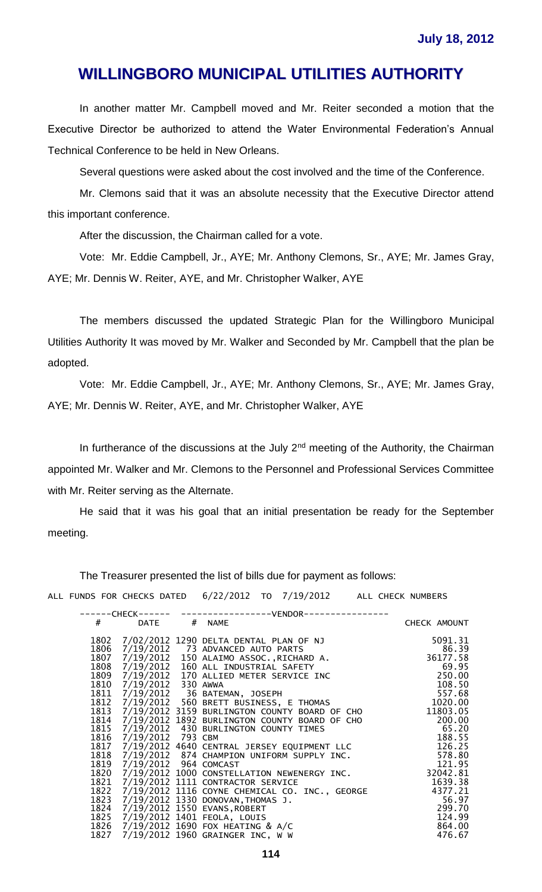In another matter Mr. Campbell moved and Mr. Reiter seconded a motion that the Executive Director be authorized to attend the Water Environmental Federation's Annual Technical Conference to be held in New Orleans.

Several questions were asked about the cost involved and the time of the Conference.

Mr. Clemons said that it was an absolute necessity that the Executive Director attend this important conference.

After the discussion, the Chairman called for a vote.

Vote: Mr. Eddie Campbell, Jr., AYE; Mr. Anthony Clemons, Sr., AYE; Mr. James Gray, AYE; Mr. Dennis W. Reiter, AYE, and Mr. Christopher Walker, AYE

The members discussed the updated Strategic Plan for the Willingboro Municipal Utilities Authority It was moved by Mr. Walker and Seconded by Mr. Campbell that the plan be adopted.

Vote: Mr. Eddie Campbell, Jr., AYE; Mr. Anthony Clemons, Sr., AYE; Mr. James Gray, AYE; Mr. Dennis W. Reiter, AYE, and Mr. Christopher Walker, AYE

In furtherance of the discussions at the July  $2<sup>nd</sup>$  meeting of the Authority, the Chairman appointed Mr. Walker and Mr. Clemons to the Personnel and Professional Services Committee with Mr. Reiter serving as the Alternate.

He said that it was his goal that an initial presentation be ready for the September meeting.

The Treasurer presented the list of bills due for payment as follows:

ALL FUNDS FOR CHECKS DATED 6/22/2012 TO 7/19/2012 ALL CHECK NUMBERS

| ----CHECK------ |                       | ----------------VENDOR-                                                                                                                                                                                                                                                                       |              |
|-----------------|-----------------------|-----------------------------------------------------------------------------------------------------------------------------------------------------------------------------------------------------------------------------------------------------------------------------------------------|--------------|
| #               | <b>DATE</b>           | # NAME                                                                                                                                                                                                                                                                                        | CHECK AMOUNT |
| 1802            |                       | 7/02/2012 1290 DELTA DENTAL PLAN OF NJ                                                                                                                                                                                                                                                        | 5091.31      |
| 1806            |                       | 7/19/2012 73 ADVANCED AUTO PARTS                                                                                                                                                                                                                                                              | 86.39        |
| 1807            |                       | 7/19/2012 150 ALAIMO ASSOC., RICHARD A.                                                                                                                                                                                                                                                       | 36177.58     |
| 1808            |                       | 7/19/2012 160 ALL INDUSTRIAL SAFETY                                                                                                                                                                                                                                                           | 69.95        |
| 1809            |                       | 7/19/2012 170 ALLIED METER SERVICE INC                                                                                                                                                                                                                                                        | 250.00       |
| 1810            |                       | $\frac{108.50}{7/19/2012}$<br>$\frac{108.50}{102012}$<br>$\frac{108.50}{102012}$<br>$\frac{108.50}{102012}$<br>$\frac{108.50}{102012}$<br>$\frac{108.50}{102012}$<br>$\frac{108.50}{102012}$<br>$\frac{108.50}{102012}$<br>$\frac{108.50}{102012}$<br>$\frac{108.50}{102012}$<br>$\frac{108.$ |              |
| 1811            |                       |                                                                                                                                                                                                                                                                                               |              |
| 1812            |                       | 7/19/2012 560 BRETT DUSSINGTY BOARD OF CHO<br>7/19/2012 3159 BURLINGTON COUNTY BOARD OF CHO<br>7/19/2012 1892 BURLINGTON COUNTY BOARD OF CHO                                                                                                                                                  |              |
| 1813            |                       |                                                                                                                                                                                                                                                                                               |              |
| 1814            |                       |                                                                                                                                                                                                                                                                                               |              |
| 1815            |                       |                                                                                                                                                                                                                                                                                               |              |
| 1816            |                       |                                                                                                                                                                                                                                                                                               | 188.55       |
| 1817            |                       | 7/19/2012 4640 CENTRAL JERSEY EQUIPMENT LLC                                                                                                                                                                                                                                                   | 126.25       |
| 1818            |                       | 7/19/2012 874 CHAMPION UNIFORM SUPPLY INC.                                                                                                                                                                                                                                                    | 578.80       |
| 1819            | 7/19/2012 964 COMCAST |                                                                                                                                                                                                                                                                                               | 121.95       |
| 1820            |                       | 7/19/2012 1000 CONSTELLATION NEWENERGY INC.                                                                                                                                                                                                                                                   | 32042.81     |
| 1821            |                       | 7/19/2012 1111 CONTRACTOR SERVICE                                                                                                                                                                                                                                                             | 1639.38      |
| 1822            |                       | 7/19/2012 1116 COYNE CHEMICAL CO. INC., GEORGE                                                                                                                                                                                                                                                | 4377.21      |
| 1823            |                       | 7/19/2012 1330 DONOVAN, THOMAS J.                                                                                                                                                                                                                                                             | 56.97        |
| 1824            |                       | 7/19/2012 1550 EVANS, ROBERT                                                                                                                                                                                                                                                                  | 299.70       |
|                 |                       | 1825 7/19/2012 1401 FEOLA, LOUIS                                                                                                                                                                                                                                                              | 124.99       |
| 1826            |                       | 7/19/2012 1690 FOX HEATING & A/C                                                                                                                                                                                                                                                              | 864.00       |
| 1827            |                       | 7/19/2012 1960 GRAINGER INC, W W                                                                                                                                                                                                                                                              | 476.67       |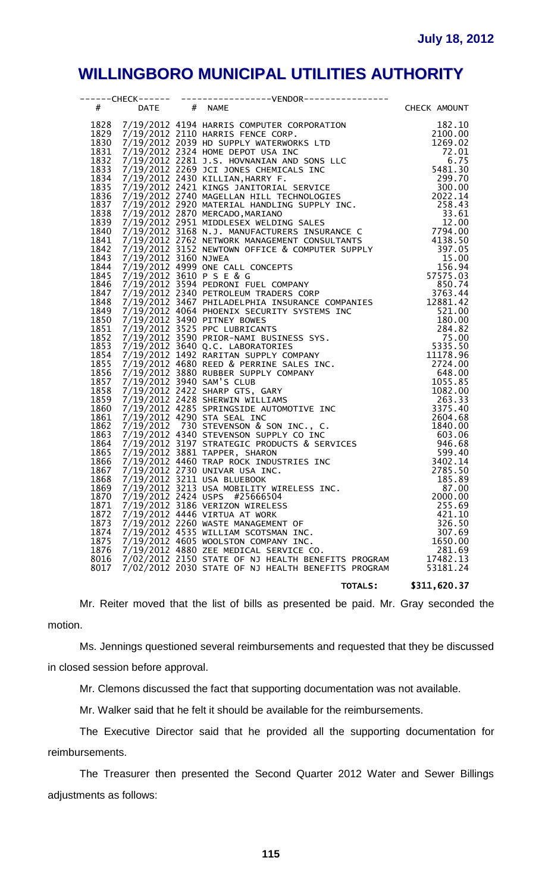| $#$ and $*$  | DATE # NAME | 4 DATE 4 NAME<br>1828 7/19/2012 4134 MARRIS COMPUNE COMPANT 1182.10<br>1829 7/19/2012 4134 MARRIS COMPUNE CORP. 1262.10<br>1831 7/19/2012 20334 HOME DEPOT USA INC SON LCC 1200.00<br>1833 7/19/2012 20334 HOME DEPOT USA INC SON LCC | CHECK AMOUNT      |
|--------------|-------------|---------------------------------------------------------------------------------------------------------------------------------------------------------------------------------------------------------------------------------------|-------------------|
|              |             |                                                                                                                                                                                                                                       |                   |
|              |             |                                                                                                                                                                                                                                       |                   |
|              |             |                                                                                                                                                                                                                                       |                   |
|              |             |                                                                                                                                                                                                                                       |                   |
|              |             |                                                                                                                                                                                                                                       |                   |
|              |             |                                                                                                                                                                                                                                       |                   |
|              |             |                                                                                                                                                                                                                                       |                   |
|              |             |                                                                                                                                                                                                                                       |                   |
|              |             |                                                                                                                                                                                                                                       |                   |
|              |             |                                                                                                                                                                                                                                       |                   |
|              |             |                                                                                                                                                                                                                                       |                   |
|              |             |                                                                                                                                                                                                                                       |                   |
|              |             |                                                                                                                                                                                                                                       |                   |
|              |             |                                                                                                                                                                                                                                       |                   |
|              |             |                                                                                                                                                                                                                                       |                   |
|              |             |                                                                                                                                                                                                                                       |                   |
|              |             |                                                                                                                                                                                                                                       |                   |
|              |             |                                                                                                                                                                                                                                       |                   |
|              |             |                                                                                                                                                                                                                                       |                   |
|              |             |                                                                                                                                                                                                                                       |                   |
|              |             |                                                                                                                                                                                                                                       |                   |
|              |             |                                                                                                                                                                                                                                       |                   |
|              |             |                                                                                                                                                                                                                                       |                   |
|              |             |                                                                                                                                                                                                                                       |                   |
|              |             |                                                                                                                                                                                                                                       |                   |
|              |             |                                                                                                                                                                                                                                       |                   |
|              |             |                                                                                                                                                                                                                                       |                   |
|              |             |                                                                                                                                                                                                                                       |                   |
|              |             |                                                                                                                                                                                                                                       |                   |
|              |             |                                                                                                                                                                                                                                       |                   |
|              |             |                                                                                                                                                                                                                                       |                   |
|              |             |                                                                                                                                                                                                                                       |                   |
|              |             |                                                                                                                                                                                                                                       |                   |
|              |             |                                                                                                                                                                                                                                       |                   |
|              |             |                                                                                                                                                                                                                                       |                   |
|              |             |                                                                                                                                                                                                                                       |                   |
|              |             |                                                                                                                                                                                                                                       |                   |
|              |             |                                                                                                                                                                                                                                       |                   |
|              |             |                                                                                                                                                                                                                                       |                   |
|              |             | 1868 7/19/2012 3211 USA BLUEBOOK                                                                                                                                                                                                      | 185.89            |
| 1869         |             | 7/19/2012 3213 USA MOBILITY WIRELESS INC.                                                                                                                                                                                             | 87.00             |
| 1870         |             | 7/19/2012 2424 USPS #25666504                                                                                                                                                                                                         | 2000.00           |
| 1871         |             | 7/19/2012 3186 VERIZON WIRELESS                                                                                                                                                                                                       | 255.69            |
| 1872         |             | 7/19/2012 4446 VIRTUA AT WORK                                                                                                                                                                                                         | 421.10            |
| 1873<br>1874 |             | 7/19/2012 2260 WASTE MANAGEMENT OF<br>7/19/2012 4535 WILLIAM SCOTSMAN INC.                                                                                                                                                            | 326.50            |
|              |             |                                                                                                                                                                                                                                       | 307.69            |
| 1875<br>1876 |             | 7/19/2012 4605 WOOLSTON COMPANY INC.<br>$7/19/2012$ 4880 ZEE MEDICAL SERVICE CO.                                                                                                                                                      | 1650.00<br>281.69 |
| 8016         |             | 7/02/2012 2150 STATE OF NJ HEALTH BENEFITS PROGRAM                                                                                                                                                                                    | 17482.13          |
| 8017         |             | 7/02/2012 2030 STATE OF NJ HEALTH BENEFITS PROGRAM                                                                                                                                                                                    | 53181.24          |
|              |             |                                                                                                                                                                                                                                       |                   |
|              |             | <b>TOTALS:</b>                                                                                                                                                                                                                        | \$311,620.37      |

Mr. Reiter moved that the list of bills as presented be paid. Mr. Gray seconded the motion.

Ms. Jennings questioned several reimbursements and requested that they be discussed in closed session before approval.

Mr. Clemons discussed the fact that supporting documentation was not available.

Mr. Walker said that he felt it should be available for the reimbursements.

The Executive Director said that he provided all the supporting documentation for reimbursements.

The Treasurer then presented the Second Quarter 2012 Water and Sewer Billings adjustments as follows: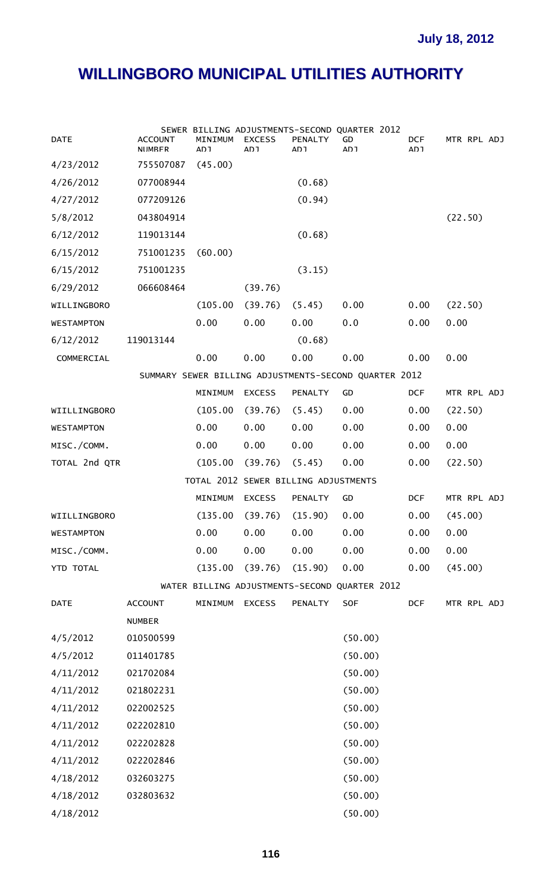| <b>DATE</b>            | <b>ACCOUNT</b><br><b>NIIMRFR</b> | MINIMUM<br>רח∆ | <b>EXCESS</b><br>רח∆                 | PENALTY<br>רח∆ | SEWER BILLING ADJUSTMENTS-SECOND QUARTER 2012<br>GD<br>וח∆ | DCF.<br>וח∆ | MTR RPL ADJ |
|------------------------|----------------------------------|----------------|--------------------------------------|----------------|------------------------------------------------------------|-------------|-------------|
| 4/23/2012              | 755507087                        | (45.00)        |                                      |                |                                                            |             |             |
| 4/26/2012              | 077008944                        |                |                                      | (0.68)         |                                                            |             |             |
| 4/27/2012              | 077209126                        |                |                                      | (0.94)         |                                                            |             |             |
| 5/8/2012               | 043804914                        |                |                                      |                |                                                            |             | (22.50)     |
| 6/12/2012              | 119013144                        |                |                                      | (0.68)         |                                                            |             |             |
| 6/15/2012              | 751001235                        | (60.00)        |                                      |                |                                                            |             |             |
| 6/15/2012              | 751001235                        |                |                                      | (3.15)         |                                                            |             |             |
| 6/29/2012              | 066608464                        |                | (39.76)                              |                |                                                            |             |             |
| WILLINGBORO            |                                  | (105.00)       | (39.76)                              | (5.45)         | 0.00                                                       | 0.00        | (22.50)     |
| <b>WESTAMPTON</b>      |                                  | 0.00           | 0.00                                 | 0.00           | 0.0                                                        | 0.00        | 0.00        |
| 6/12/2012              | 119013144                        |                |                                      | (0.68)         |                                                            |             |             |
| COMMERCIAL             |                                  | 0.00           | 0.00                                 | 0.00           | 0.00                                                       | 0.00        | 0.00        |
|                        |                                  |                |                                      |                | SUMMARY SEWER BILLING ADJUSTMENTS-SECOND QUARTER 2012      |             |             |
|                        |                                  | MINIMUM        | <b>EXCESS</b>                        | PENALTY        | GD                                                         | <b>DCF</b>  | MTR RPL ADJ |
| WIILLINGBORO           |                                  | (105.00)       | (39.76)                              | (5.45)         | 0.00                                                       | 0.00        | (22.50)     |
| <b>WESTAMPTON</b>      |                                  | 0.00           | 0.00                                 | 0.00           | 0.00                                                       | 0.00        | 0.00        |
| MISC./COMM.            |                                  | 0.00           | 0.00                                 | 0.00           | 0.00                                                       | 0.00        | 0.00        |
| TOTAL 2nd QTR          |                                  | (105.00)       | (39.76)                              | (5.45)         | 0.00                                                       | 0.00        | (22.50)     |
|                        |                                  |                | TOTAL 2012 SEWER BILLING ADJUSTMENTS |                |                                                            |             |             |
|                        |                                  | MINIMUM        | <b>EXCESS</b>                        | <b>PENALTY</b> | GD                                                         | <b>DCF</b>  | MTR RPL ADJ |
| WIILLINGBORO           |                                  | (135.00)       | (39.76)                              | (15.90)        | 0.00                                                       | 0.00        | (45.00)     |
| <b>WESTAMPTON</b>      |                                  | 0.00           | 0.00                                 | 0.00           | 0.00                                                       | 0.00        | 0.00        |
| MISC./COMM.            |                                  | 0.00           | 0.00                                 | 0.00           | 0.00                                                       | 0.00        | 0.00        |
| YTD TOTAL              |                                  | (135.00)       | (39.76)                              | (15.90)        | 0.00                                                       | 0.00        | (45.00)     |
|                        |                                  |                |                                      |                | WATER BILLING ADJUSTMENTS-SECOND QUARTER 2012              |             |             |
| <b>DATE</b>            | <b>ACCOUNT</b>                   | MINIMUM        | <b>EXCESS</b>                        | PENALTY        | SOF                                                        | <b>DCF</b>  | MTR RPL ADJ |
|                        | <b>NUMBER</b>                    |                |                                      |                |                                                            |             |             |
| 4/5/2012               | 010500599                        |                |                                      |                | (50.00)                                                    |             |             |
| 4/5/2012               | 011401785                        |                |                                      |                | (50.00)                                                    |             |             |
| 4/11/2012              | 021702084                        |                |                                      |                | (50.00)                                                    |             |             |
| 4/11/2012              | 021802231                        |                |                                      |                | (50.00)                                                    |             |             |
| 4/11/2012              | 022002525                        |                |                                      |                | (50.00)                                                    |             |             |
| 4/11/2012              | 022202810                        |                |                                      |                | (50.00)                                                    |             |             |
| 4/11/2012<br>022202828 |                                  |                |                                      |                | (50.00)                                                    |             |             |
| 4/11/2012              | 022202846                        |                |                                      |                | (50.00)                                                    |             |             |
| 4/18/2012              | 032603275                        |                |                                      |                | (50.00)                                                    |             |             |
| 4/18/2012              | 032803632                        |                |                                      |                | (50.00)                                                    |             |             |
| 4/18/2012              |                                  |                |                                      |                | (50.00)                                                    |             |             |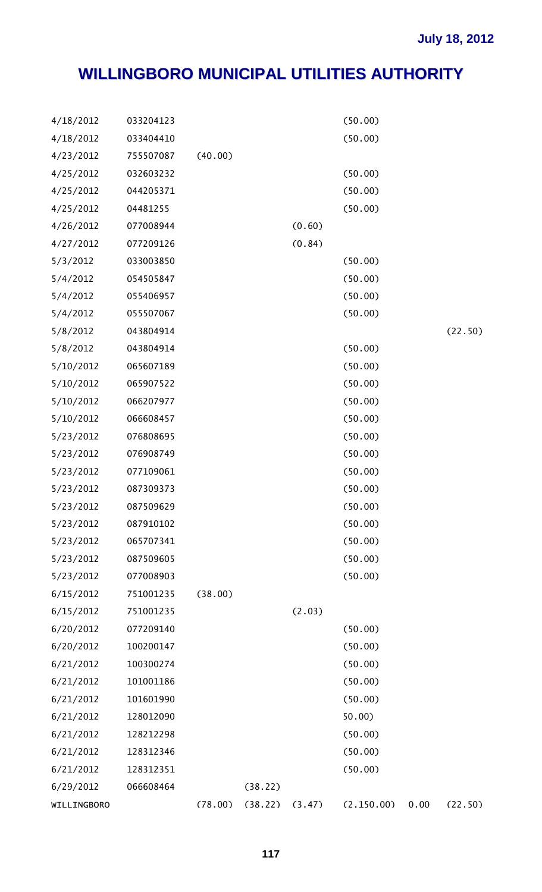| 4/18/2012   | 033204123 |         |         |        | (50.00)     |      |         |
|-------------|-----------|---------|---------|--------|-------------|------|---------|
| 4/18/2012   | 033404410 |         |         |        | (50.00)     |      |         |
| 4/23/2012   | 755507087 | (40.00) |         |        |             |      |         |
| 4/25/2012   | 032603232 |         |         |        | (50.00)     |      |         |
| 4/25/2012   | 044205371 |         |         |        | (50.00)     |      |         |
| 4/25/2012   | 04481255  |         |         |        | (50.00)     |      |         |
| 4/26/2012   | 077008944 |         |         | (0.60) |             |      |         |
| 4/27/2012   | 077209126 |         |         | (0.84) |             |      |         |
| 5/3/2012    | 033003850 |         |         |        | (50.00)     |      |         |
| 5/4/2012    | 054505847 |         |         |        | (50.00)     |      |         |
| 5/4/2012    | 055406957 |         |         |        | (50.00)     |      |         |
| 5/4/2012    | 055507067 |         |         |        | (50.00)     |      |         |
| 5/8/2012    | 043804914 |         |         |        |             |      | (22.50) |
| 5/8/2012    | 043804914 |         |         |        | (50.00)     |      |         |
| 5/10/2012   | 065607189 |         |         |        | (50.00)     |      |         |
| 5/10/2012   | 065907522 |         |         |        | (50.00)     |      |         |
| 5/10/2012   | 066207977 |         |         |        | (50.00)     |      |         |
| 5/10/2012   | 066608457 |         |         |        | (50.00)     |      |         |
| 5/23/2012   | 076808695 |         |         |        | (50.00)     |      |         |
| 5/23/2012   | 076908749 |         |         |        | (50.00)     |      |         |
| 5/23/2012   | 077109061 |         |         |        | (50.00)     |      |         |
| 5/23/2012   | 087309373 |         |         |        | (50.00)     |      |         |
| 5/23/2012   | 087509629 |         |         |        | (50.00)     |      |         |
| 5/23/2012   | 087910102 |         |         |        | (50.00)     |      |         |
| 5/23/2012   | 065707341 |         |         |        | (50.00)     |      |         |
| 5/23/2012   | 087509605 |         |         |        | (50.00)     |      |         |
| 5/23/2012   | 077008903 |         |         |        | (50.00)     |      |         |
| 6/15/2012   | 751001235 | (38.00) |         |        |             |      |         |
| 6/15/2012   | 751001235 |         |         | (2.03) |             |      |         |
| 6/20/2012   | 077209140 |         |         |        | (50.00)     |      |         |
| 6/20/2012   | 100200147 |         |         |        | (50.00)     |      |         |
| 6/21/2012   | 100300274 |         |         |        | (50.00)     |      |         |
| 6/21/2012   | 101001186 |         |         |        | (50.00)     |      |         |
| 6/21/2012   | 101601990 |         |         |        | (50.00)     |      |         |
| 6/21/2012   | 128012090 |         |         |        | 50.00       |      |         |
| 6/21/2012   | 128212298 |         |         |        | (50.00)     |      |         |
| 6/21/2012   | 128312346 |         |         |        | (50.00)     |      |         |
| 6/21/2012   | 128312351 |         |         |        | (50.00)     |      |         |
| 6/29/2012   | 066608464 |         | (38.22) |        |             |      |         |
| WILLINGBORO |           | (78.00) | (38.22) | (3.47) | (2, 150.00) | 0.00 | (22.50) |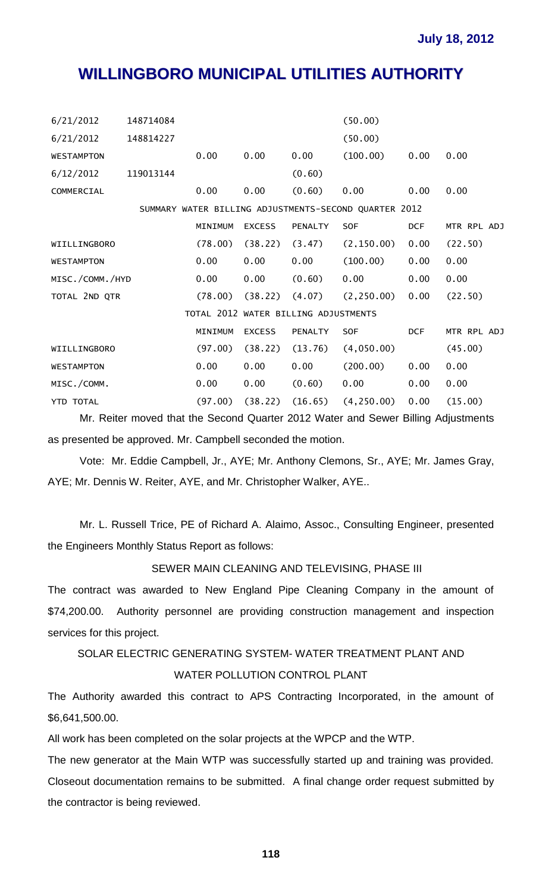| 6/21/2012                            | 148714084 |         |               |                | (50.00)                                               |            |             |
|--------------------------------------|-----------|---------|---------------|----------------|-------------------------------------------------------|------------|-------------|
| 6/21/2012                            | 148814227 |         |               |                | (50.00)                                               |            |             |
| <b>WESTAMPTON</b>                    |           | 0.00    | 0.00          | 0.00           | (100.00)                                              | 0.00       | 0.00        |
| 6/12/2012                            | 119013144 |         |               | (0.60)         |                                                       |            |             |
| COMMERCIAL                           |           | 0.00    | 0.00          | (0.60)         | 0.00                                                  | 0.00       | 0.00        |
|                                      |           |         |               |                | SUMMARY WATER BILLING ADJUSTMENTS-SECOND OUARTER 2012 |            |             |
|                                      |           | MINIMUM | <b>EXCESS</b> | <b>PENALTY</b> | SOF                                                   | <b>DCF</b> | MTR RPL ADJ |
| WIILLINGBORO                         |           | (78.00) | (38.22)       | (3.47)         | (2, 150.00)                                           | 0.00       | (22.50)     |
| <b>WESTAMPTON</b>                    |           | 0.00    | 0.00          | 0.00           | (100.00)                                              | 0.00       | 0.00        |
| MISC./COMM./HYD                      |           | 0.00    | 0.00          | (0.60)         | 0.00                                                  | 0.00       | 0.00        |
| TOTAL 2ND OTR                        |           | (78.00) | (38.22)       | (4.07)         | (2, 250.00)                                           | 0.00       | (22.50)     |
| TOTAL 2012 WATER BILLING ADJUSTMENTS |           |         |               |                |                                                       |            |             |
|                                      |           | MINIMUM | <b>EXCESS</b> | PENALTY        | SOF.                                                  | <b>DCF</b> | MTR RPL ADJ |
| WIILLINGBORO                         |           | (97.00) | (38.22)       | (13.76)        | (4,050.00)                                            |            | (45.00)     |
| <b>WESTAMPTON</b>                    |           | 0.00    | 0.00          | 0.00           | (200.00)                                              | 0.00       | 0.00        |
| MISC./COMM.                          |           | 0.00    | 0.00          | (0.60)         | 0.00                                                  | 0.00       | 0.00        |
| <b>YTD TOTAL</b>                     |           | (97.00) | (38.22)       | (16.65)        | (4, 250.00)                                           | 0.00       | (15.00)     |

Mr. Reiter moved that the Second Quarter 2012 Water and Sewer Billing Adjustments as presented be approved. Mr. Campbell seconded the motion.

Vote: Mr. Eddie Campbell, Jr., AYE; Mr. Anthony Clemons, Sr., AYE; Mr. James Gray, AYE; Mr. Dennis W. Reiter, AYE, and Mr. Christopher Walker, AYE..

Mr. L. Russell Trice, PE of Richard A. Alaimo, Assoc., Consulting Engineer, presented the Engineers Monthly Status Report as follows:

#### SEWER MAIN CLEANING AND TELEVISING, PHASE III

The contract was awarded to New England Pipe Cleaning Company in the amount of \$74,200.00. Authority personnel are providing construction management and inspection services for this project.

SOLAR ELECTRIC GENERATING SYSTEM- WATER TREATMENT PLANT AND

### WATER POLLUTION CONTROL PLANT

The Authority awarded this contract to APS Contracting Incorporated, in the amount of \$6,641,500.00.

All work has been completed on the solar projects at the WPCP and the WTP.

The new generator at the Main WTP was successfully started up and training was provided. Closeout documentation remains to be submitted. A final change order request submitted by the contractor is being reviewed.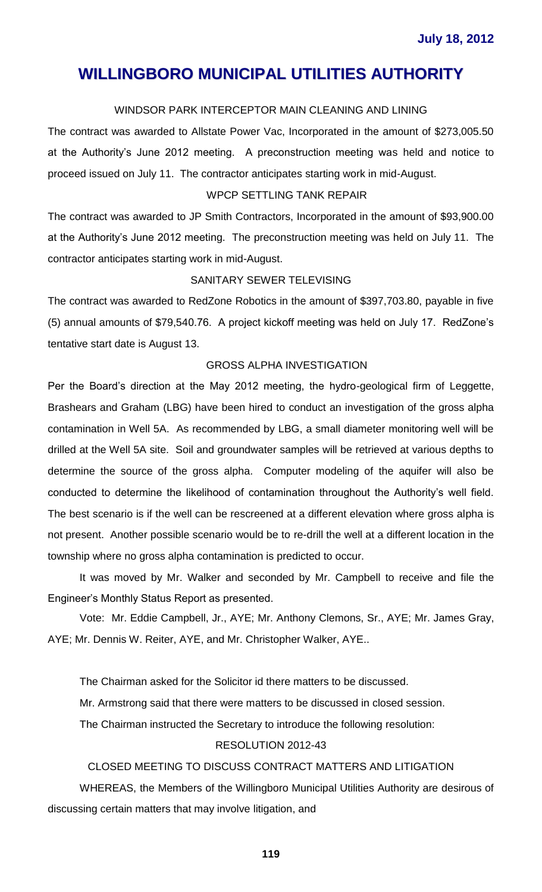#### WINDSOR PARK INTERCEPTOR MAIN CLEANING AND LINING

The contract was awarded to Allstate Power Vac, Incorporated in the amount of \$273,005.50 at the Authority's June 2012 meeting. A preconstruction meeting was held and notice to proceed issued on July 11. The contractor anticipates starting work in mid-August.

### WPCP SETTLING TANK REPAIR

The contract was awarded to JP Smith Contractors, Incorporated in the amount of \$93,900.00 at the Authority's June 2012 meeting. The preconstruction meeting was held on July 11. The contractor anticipates starting work in mid-August.

#### SANITARY SEWER TELEVISING

The contract was awarded to RedZone Robotics in the amount of \$397,703.80, payable in five (5) annual amounts of \$79,540.76. A project kickoff meeting was held on July 17. RedZone's tentative start date is August 13.

#### GROSS ALPHA INVESTIGATION

Per the Board's direction at the May 2012 meeting, the hydro-geological firm of Leggette, Brashears and Graham (LBG) have been hired to conduct an investigation of the gross alpha contamination in Well 5A. As recommended by LBG, a small diameter monitoring well will be drilled at the Well 5A site. Soil and groundwater samples will be retrieved at various depths to determine the source of the gross alpha. Computer modeling of the aquifer will also be conducted to determine the likelihood of contamination throughout the Authority's well field. The best scenario is if the well can be rescreened at a different elevation where gross alpha is not present. Another possible scenario would be to re-drill the well at a different location in the township where no gross alpha contamination is predicted to occur.

It was moved by Mr. Walker and seconded by Mr. Campbell to receive and file the Engineer's Monthly Status Report as presented.

Vote: Mr. Eddie Campbell, Jr., AYE; Mr. Anthony Clemons, Sr., AYE; Mr. James Gray, AYE; Mr. Dennis W. Reiter, AYE, and Mr. Christopher Walker, AYE..

The Chairman asked for the Solicitor id there matters to be discussed.

Mr. Armstrong said that there were matters to be discussed in closed session.

The Chairman instructed the Secretary to introduce the following resolution:

### RESOLUTION 2012-43

#### CLOSED MEETING TO DISCUSS CONTRACT MATTERS AND LITIGATION

WHEREAS, the Members of the Willingboro Municipal Utilities Authority are desirous of discussing certain matters that may involve litigation, and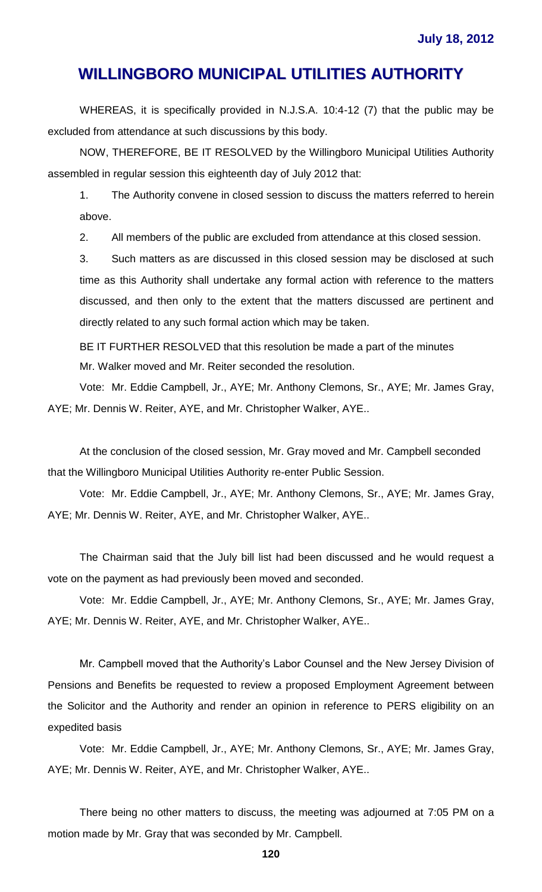WHEREAS, it is specifically provided in N.J.S.A. 10:4-12 (7) that the public may be excluded from attendance at such discussions by this body.

NOW, THEREFORE, BE IT RESOLVED by the Willingboro Municipal Utilities Authority assembled in regular session this eighteenth day of July 2012 that:

1. The Authority convene in closed session to discuss the matters referred to herein above.

2. All members of the public are excluded from attendance at this closed session.

3. Such matters as are discussed in this closed session may be disclosed at such time as this Authority shall undertake any formal action with reference to the matters discussed, and then only to the extent that the matters discussed are pertinent and directly related to any such formal action which may be taken.

BE IT FURTHER RESOLVED that this resolution be made a part of the minutes Mr. Walker moved and Mr. Reiter seconded the resolution.

Vote: Mr. Eddie Campbell, Jr., AYE; Mr. Anthony Clemons, Sr., AYE; Mr. James Gray, AYE; Mr. Dennis W. Reiter, AYE, and Mr. Christopher Walker, AYE..

At the conclusion of the closed session, Mr. Gray moved and Mr. Campbell seconded that the Willingboro Municipal Utilities Authority re-enter Public Session.

Vote: Mr. Eddie Campbell, Jr., AYE; Mr. Anthony Clemons, Sr., AYE; Mr. James Gray, AYE; Mr. Dennis W. Reiter, AYE, and Mr. Christopher Walker, AYE..

The Chairman said that the July bill list had been discussed and he would request a vote on the payment as had previously been moved and seconded.

Vote: Mr. Eddie Campbell, Jr., AYE; Mr. Anthony Clemons, Sr., AYE; Mr. James Gray, AYE; Mr. Dennis W. Reiter, AYE, and Mr. Christopher Walker, AYE..

Mr. Campbell moved that the Authority's Labor Counsel and the New Jersey Division of Pensions and Benefits be requested to review a proposed Employment Agreement between the Solicitor and the Authority and render an opinion in reference to PERS eligibility on an expedited basis

Vote: Mr. Eddie Campbell, Jr., AYE; Mr. Anthony Clemons, Sr., AYE; Mr. James Gray, AYE; Mr. Dennis W. Reiter, AYE, and Mr. Christopher Walker, AYE..

There being no other matters to discuss, the meeting was adjourned at 7:05 PM on a motion made by Mr. Gray that was seconded by Mr. Campbell.